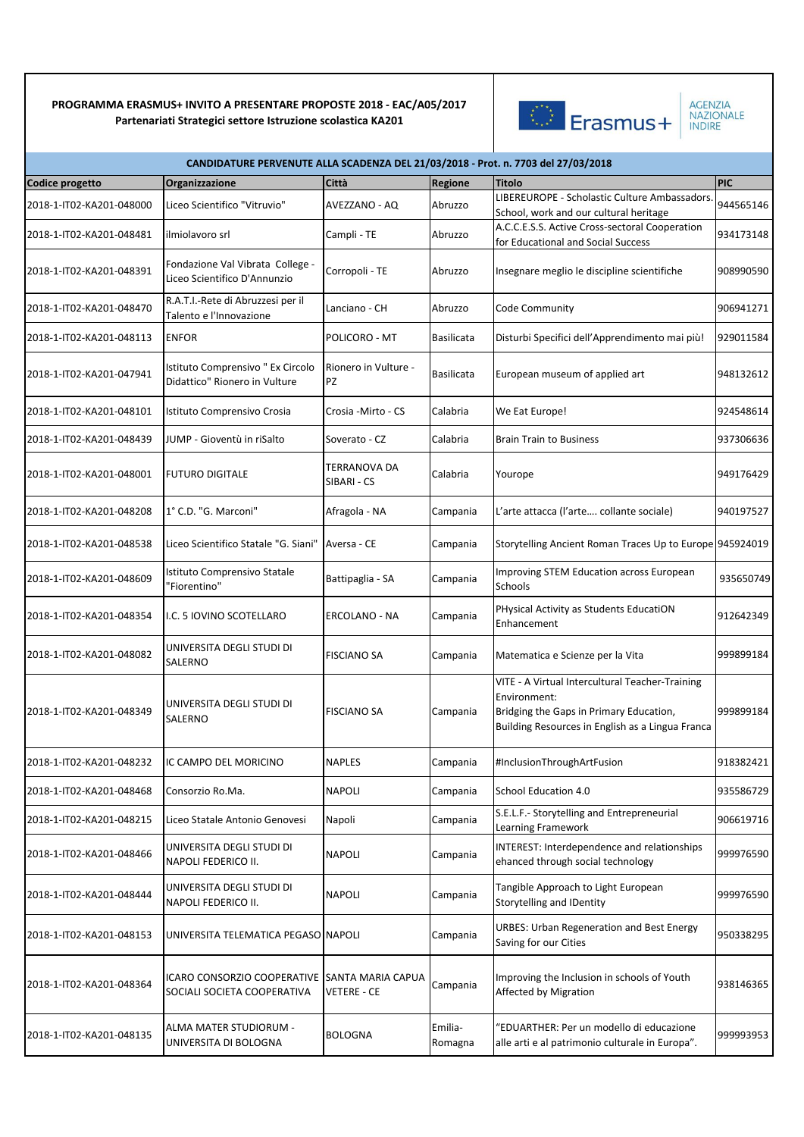

AGENZIA<br>NAZIONALE<br>INDIRE

| CANDIDATURE PERVENUTE ALLA SCADENZA DEL 21/03/2018 - Prot. n. 7703 del 27/03/2018 |                                                                              |                             |                    |                                                                                                                                                                |            |  |  |
|-----------------------------------------------------------------------------------|------------------------------------------------------------------------------|-----------------------------|--------------------|----------------------------------------------------------------------------------------------------------------------------------------------------------------|------------|--|--|
| Codice progetto                                                                   | Organizzazione                                                               | Città                       | Regione            | Titolo                                                                                                                                                         | <b>PIC</b> |  |  |
| 2018-1-IT02-KA201-048000                                                          | Liceo Scientifico "Vitruvio"                                                 | AVEZZANO - AQ               | Abruzzo            | LIBEREUROPE - Scholastic Culture Ambassadors.<br>School, work and our cultural heritage                                                                        | 944565146  |  |  |
| 2018-1-IT02-KA201-048481                                                          | ilmiolavoro srl                                                              | Campli - TE                 | Abruzzo            | A.C.C.E.S.S. Active Cross-sectoral Cooperation<br>for Educational and Social Success                                                                           | 934173148  |  |  |
| 2018-1-IT02-KA201-048391                                                          | Fondazione Val Vibrata College -<br>Liceo Scientifico D'Annunzio             | Corropoli - TE              | Abruzzo            | Insegnare meglio le discipline scientifiche                                                                                                                    | 908990590  |  |  |
| 2018-1-IT02-KA201-048470                                                          | R.A.T.I.-Rete di Abruzzesi per il<br>Talento e l'Innovazione                 | Lanciano - CH               | Abruzzo            | Code Community                                                                                                                                                 | 906941271  |  |  |
| 2018-1-IT02-KA201-048113                                                          | <b>ENFOR</b>                                                                 | POLICORO - MT               | <b>Basilicata</b>  | Disturbi Specifici dell'Apprendimento mai più!                                                                                                                 | 929011584  |  |  |
| 2018-1-IT02-KA201-047941                                                          | Istituto Comprensivo " Ex Circolo<br>Didattico" Rionero in Vulture           | Rionero in Vulture -<br>PZ  | <b>Basilicata</b>  | European museum of applied art                                                                                                                                 | 948132612  |  |  |
| 2018-1-IT02-KA201-048101                                                          | Istituto Comprensivo Crosia                                                  | Crosia -Mirto - CS          | Calabria           | We Eat Europe!                                                                                                                                                 | 924548614  |  |  |
| 2018-1-IT02-KA201-048439                                                          | JUMP - Gioventù in riSalto                                                   | Soverato - CZ               | Calabria           | <b>Brain Train to Business</b>                                                                                                                                 | 937306636  |  |  |
| 2018-1-IT02-KA201-048001                                                          | <b>FUTURO DIGITALE</b>                                                       | TERRANOVA DA<br>SIBARI - CS | Calabria           | Yourope                                                                                                                                                        | 949176429  |  |  |
| 2018-1-IT02-KA201-048208                                                          | 1° C.D. "G. Marconi"                                                         | Afragola - NA               | Campania           | L'arte attacca (l'arte collante sociale)                                                                                                                       | 940197527  |  |  |
| 2018-1-IT02-KA201-048538                                                          | Liceo Scientifico Statale "G. Siani"                                         | Aversa - CE                 | Campania           | Storytelling Ancient Roman Traces Up to Europe 945924019                                                                                                       |            |  |  |
| 2018-1-IT02-KA201-048609                                                          | Istituto Comprensivo Statale<br>"Fiorentino"                                 | Battipaglia - SA            | Campania           | Improving STEM Education across European<br>Schools                                                                                                            | 935650749  |  |  |
| 2018-1-IT02-KA201-048354                                                          | I.C. 5 IOVINO SCOTELLARO                                                     | ERCOLANO - NA               | Campania           | PHysical Activity as Students EducatiON<br>Enhancement                                                                                                         | 912642349  |  |  |
| 2018-1-IT02-KA201-048082                                                          | UNIVERSITA DEGLI STUDI DI<br>SALERNO                                         | FISCIANO SA                 | Campania           | Matematica e Scienze per la Vita                                                                                                                               | 999899184  |  |  |
| 2018-1-IT02-KA201-048349                                                          | UNIVERSITA DEGLI STUDI DI<br>SALERNO                                         | <b>FISCIANO SA</b>          | Campania           | VITE - A Virtual Intercultural Teacher-Training<br>Environment:<br>Bridging the Gaps in Primary Education,<br>Building Resources in English as a Lingua Franca | 999899184  |  |  |
| 2018-1-IT02-KA201-048232                                                          | IC CAMPO DEL MORICINO                                                        | NAPLES                      | Campania           | #InclusionThroughArtFusion                                                                                                                                     | 918382421  |  |  |
| 2018-1-IT02-KA201-048468                                                          | Consorzio Ro.Ma.                                                             | NAPOLI                      | Campania           | <b>School Education 4.0</b>                                                                                                                                    | 935586729  |  |  |
| 2018-1-IT02-KA201-048215                                                          | Liceo Statale Antonio Genovesi                                               | Napoli                      | Campania           | S.E.L.F.- Storytelling and Entrepreneurial<br>Learning Framework                                                                                               | 906619716  |  |  |
| 2018-1-IT02-KA201-048466                                                          | UNIVERSITA DEGLI STUDI DI<br>NAPOLI FEDERICO II.                             | NAPOLI                      | Campania           | <b>INTEREST: Interdependence and relationships</b><br>ehanced through social technology                                                                        | 999976590  |  |  |
| 2018-1-IT02-KA201-048444                                                          | UNIVERSITA DEGLI STUDI DI<br>NAPOLI FEDERICO II.                             | NAPOLI                      | Campania           | Tangible Approach to Light European<br>Storytelling and IDentity                                                                                               | 999976590  |  |  |
| 2018-1-IT02-KA201-048153                                                          | UNIVERSITA TELEMATICA PEGASO NAPOLI                                          |                             | Campania           | <b>URBES: Urban Regeneration and Best Energy</b><br>Saving for our Cities                                                                                      | 950338295  |  |  |
| 2018-1-IT02-KA201-048364                                                          | ICARO CONSORZIO COOPERATIVE SANTA MARIA CAPUA<br>SOCIALI SOCIETA COOPERATIVA | VETERE - CE                 | Campania           | Improving the Inclusion in schools of Youth<br>Affected by Migration                                                                                           | 938146365  |  |  |
| 2018-1-IT02-KA201-048135                                                          | ALMA MATER STUDIORUM -<br>UNIVERSITA DI BOLOGNA                              | BOLOGNA                     | Emilia-<br>Romagna | "EDUARTHER: Per un modello di educazione<br>alle arti e al patrimonio culturale in Europa".                                                                    | 999993953  |  |  |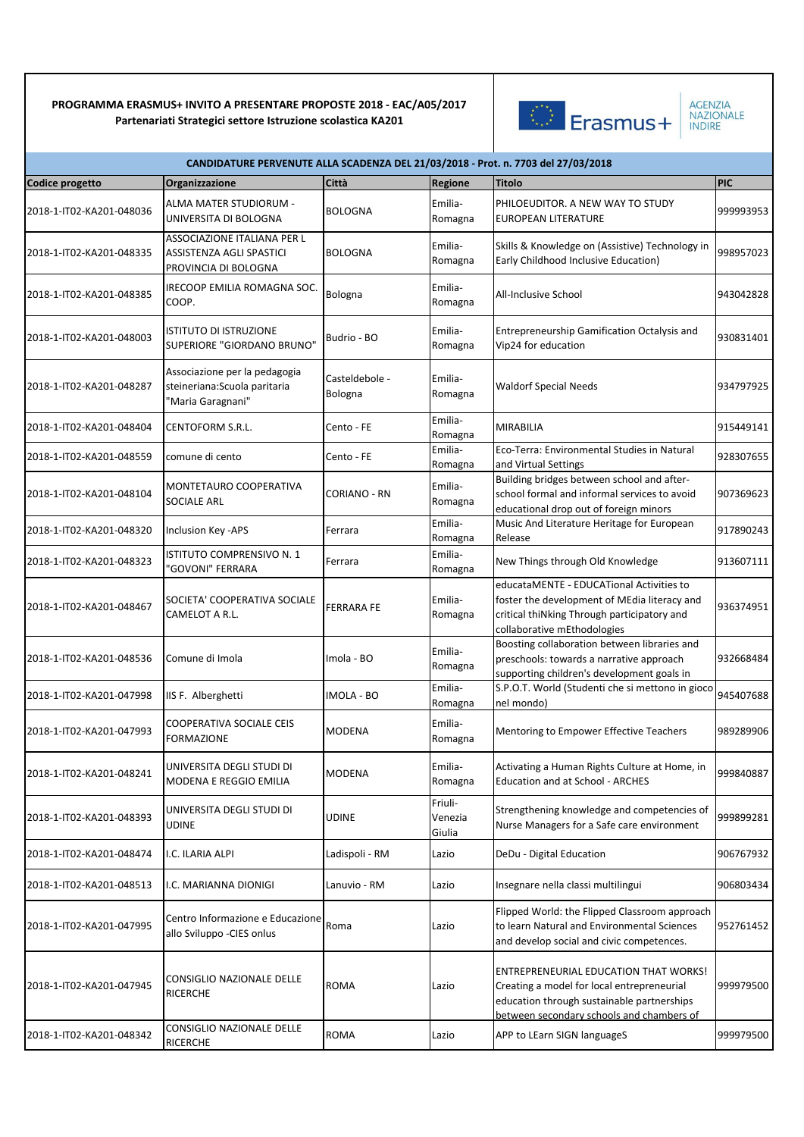

| CANDIDATURE PERVENUTE ALLA SCADENZA DEL 21/03/2018 - Prot. n. 7703 del 27/03/2018 |                                                                                        |                           |                              |                                                                                                                                                                                       |            |  |  |
|-----------------------------------------------------------------------------------|----------------------------------------------------------------------------------------|---------------------------|------------------------------|---------------------------------------------------------------------------------------------------------------------------------------------------------------------------------------|------------|--|--|
| <b>Codice progetto</b>                                                            | <b>Organizzazione</b>                                                                  | Città                     | <b>Regione</b>               | Titolo                                                                                                                                                                                | <b>PIC</b> |  |  |
| 2018-1-IT02-KA201-048036                                                          | ALMA MATER STUDIORUM -<br>UNIVERSITA DI BOLOGNA                                        | <b>BOLOGNA</b>            | Emilia-<br>Romagna           | PHILOEUDITOR. A NEW WAY TO STUDY<br><b>EUROPEAN LITERATURE</b>                                                                                                                        | 999993953  |  |  |
| 2018-1-IT02-KA201-048335                                                          | ASSOCIAZIONE ITALIANA PER L<br><b>ASSISTENZA AGLI SPASTICI</b><br>PROVINCIA DI BOLOGNA | <b>BOLOGNA</b>            | Emilia-<br>Romagna           | Skills & Knowledge on (Assistive) Technology in<br>Early Childhood Inclusive Education)                                                                                               | 998957023  |  |  |
| 2018-1-IT02-KA201-048385                                                          | IRECOOP EMILIA ROMAGNA SOC.<br>COOP.                                                   | Bologna                   | Emilia-<br>Romagna           | All-Inclusive School                                                                                                                                                                  | 943042828  |  |  |
| 2018-1-IT02-KA201-048003                                                          | <b>ISTITUTO DI ISTRUZIONE</b><br>SUPERIORE "GIORDANO BRUNO"                            | Budrio - BO               | Emilia-<br>Romagna           | Entrepreneurship Gamification Octalysis and<br>Vip24 for education                                                                                                                    | 930831401  |  |  |
| 2018-1-IT02-KA201-048287                                                          | Associazione per la pedagogia<br>steineriana: Scuola paritaria<br>"Maria Garagnani"    | Casteldebole -<br>Bologna | Emilia-<br>Romagna           | <b>Waldorf Special Needs</b>                                                                                                                                                          | 934797925  |  |  |
| 2018-1-IT02-KA201-048404                                                          | CENTOFORM S.R.L.                                                                       | Cento - FE                | Emilia-<br>Romagna           | <b>MIRABILIA</b>                                                                                                                                                                      | 915449141  |  |  |
| 2018-1-IT02-KA201-048559                                                          | comune di cento                                                                        | Cento - FE                | Emilia-<br>Romagna           | Eco-Terra: Environmental Studies in Natural<br>and Virtual Settings                                                                                                                   | 928307655  |  |  |
| 2018-1-IT02-KA201-048104                                                          | MONTETAURO COOPERATIVA<br><b>SOCIALE ARL</b>                                           | CORIANO - RN              | Emilia-<br>Romagna           | Building bridges between school and after-<br>school formal and informal services to avoid<br>educational drop out of foreign minors                                                  | 907369623  |  |  |
| 2018-1-IT02-KA201-048320                                                          | <b>Inclusion Key -APS</b>                                                              | Ferrara                   | Emilia-<br>Romagna           | Music And Literature Heritage for European<br>Release                                                                                                                                 | 917890243  |  |  |
| 2018-1-IT02-KA201-048323                                                          | ISTITUTO COMPRENSIVO N. 1<br>"GOVONI" FERRARA                                          | Ferrara                   | Emilia-<br>Romagna           | New Things through Old Knowledge                                                                                                                                                      | 913607111  |  |  |
| 2018-1-IT02-KA201-048467                                                          | SOCIETA' COOPERATIVA SOCIALE<br>CAMELOT A R.L.                                         | <b>FERRARA FE</b>         | Emilia-<br>Romagna           | educataMENTE - EDUCATional Activities to<br>foster the development of MEdia literacy and<br>critical thiNking Through participatory and<br>collaborative mEthodologies                | 936374951  |  |  |
| 2018-1-IT02-KA201-048536                                                          | Comune di Imola                                                                        | Imola - BO                | Emilia-<br>Romagna           | Boosting collaboration between libraries and<br>preschools: towards a narrative approach<br>supporting children's development goals in                                                | 932668484  |  |  |
| 2018-1-IT02-KA201-047998                                                          | IIS F. Alberghetti                                                                     | <b>IMOLA - BO</b>         | Emilia-<br>Romagna           | S.P.O.T. World (Studenti che si mettono in gioco<br>nel mondo)                                                                                                                        | 945407688  |  |  |
| 2018-1-IT02-KA201-047993                                                          | <b>COOPERATIVA SOCIALE CEIS</b><br><b>FORMAZIONE</b>                                   | MODENA                    | Emilia-<br>Romagna           | Mentoring to Empower Effective Teachers                                                                                                                                               | 989289906  |  |  |
| 2018-1-IT02-KA201-048241                                                          | UNIVERSITA DEGLI STUDI DI<br>MODENA E REGGIO EMILIA                                    | <b>MODENA</b>             | Emilia-<br>Romagna           | Activating a Human Rights Culture at Home, in<br>Education and at School - ARCHES                                                                                                     | 999840887  |  |  |
| 2018-1-IT02-KA201-048393                                                          | UNIVERSITA DEGLI STUDI DI<br><b>UDINE</b>                                              | <b>UDINE</b>              | Friuli-<br>Venezia<br>Giulia | Strengthening knowledge and competencies of<br>Nurse Managers for a Safe care environment                                                                                             | 999899281  |  |  |
| 2018-1-IT02-KA201-048474                                                          | I.C. ILARIA ALPI                                                                       | Ladispoli - RM            | Lazio                        | DeDu - Digital Education                                                                                                                                                              | 906767932  |  |  |
| 2018-1-IT02-KA201-048513                                                          | I.C. MARIANNA DIONIGI                                                                  | Lanuvio - RM              | Lazio                        | Insegnare nella classi multilingui                                                                                                                                                    | 906803434  |  |  |
| 2018-1-IT02-KA201-047995                                                          | Centro Informazione e Educazione<br>allo Sviluppo - CIES onlus                         | Roma                      | Lazio                        | Flipped World: the Flipped Classroom approach<br>to learn Natural and Environmental Sciences<br>and develop social and civic competences.                                             | 952761452  |  |  |
| 2018-1-IT02-KA201-047945                                                          | CONSIGLIO NAZIONALE DELLE<br><b>RICERCHE</b>                                           | <b>ROMA</b>               | Lazio                        | <b>ENTREPRENEURIAL EDUCATION THAT WORKS!</b><br>Creating a model for local entrepreneurial<br>education through sustainable partnerships<br>between secondary schools and chambers of | 999979500  |  |  |
| 2018-1-IT02-KA201-048342                                                          | CONSIGLIO NAZIONALE DELLE<br>RICERCHE                                                  | <b>ROMA</b>               | Lazio                        | APP to LEarn SIGN languageS                                                                                                                                                           | 999979500  |  |  |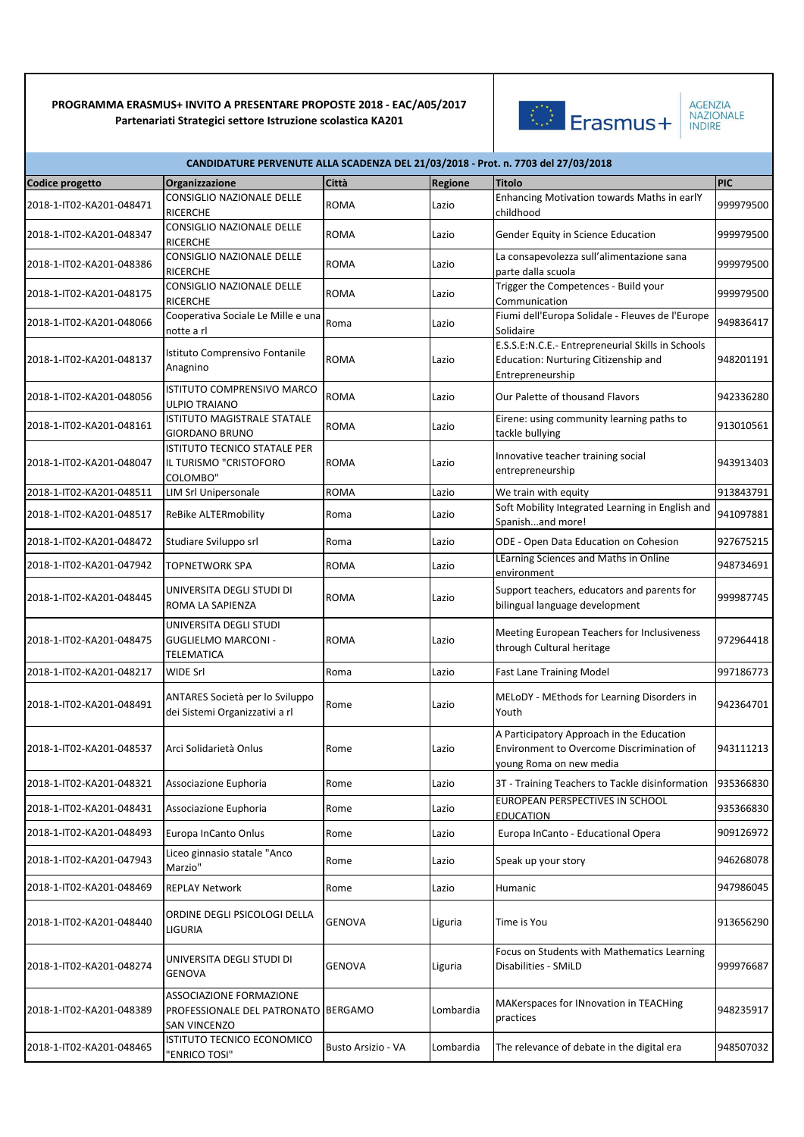

AGENZIA<br>NAZIONALE<br>INDIRE

| CANDIDATURE PERVENUTE ALLA SCADENZA DEL 21/03/2018 - Prot. n. 7703 del 27/03/2018 |                                                                                       |                    |           |                                                                                                                   |            |  |  |
|-----------------------------------------------------------------------------------|---------------------------------------------------------------------------------------|--------------------|-----------|-------------------------------------------------------------------------------------------------------------------|------------|--|--|
| Codice progetto                                                                   | <b>Organizzazione</b>                                                                 | Città              | Regione   | <b>Titolo</b>                                                                                                     | <b>PIC</b> |  |  |
| 2018-1-IT02-KA201-048471                                                          | CONSIGLIO NAZIONALE DELLE<br><b>RICERCHE</b>                                          | <b>ROMA</b>        | Lazio     | Enhancing Motivation towards Maths in early<br>childhood                                                          | 999979500  |  |  |
| 2018-1-IT02-KA201-048347                                                          | CONSIGLIO NAZIONALE DELLE<br><b>RICERCHE</b>                                          | <b>ROMA</b>        | Lazio     | Gender Equity in Science Education                                                                                | 999979500  |  |  |
| 2018-1-IT02-KA201-048386                                                          | CONSIGLIO NAZIONALE DELLE<br><b>RICERCHE</b>                                          | <b>ROMA</b>        | Lazio     | La consapevolezza sull'alimentazione sana<br>parte dalla scuola                                                   | 999979500  |  |  |
| 2018-1-IT02-KA201-048175                                                          | CONSIGLIO NAZIONALE DELLE<br><b>RICERCHE</b>                                          | <b>ROMA</b>        | Lazio     | Trigger the Competences - Build your<br>Communication                                                             | 999979500  |  |  |
| 2018-1-IT02-KA201-048066                                                          | Cooperativa Sociale Le Mille e una<br>notte a rl                                      | Roma               | Lazio     | Fiumi dell'Europa Solidale - Fleuves de l'Europe<br>Solidaire                                                     | 949836417  |  |  |
| 2018-1-IT02-KA201-048137                                                          | Istituto Comprensivo Fontanile<br>Anagnino                                            | <b>ROMA</b>        | Lazio     | E.S.S.E:N.C.E.- Entrepreneurial Skills in Schools<br>Education: Nurturing Citizenship and<br>Entrepreneurship     | 948201191  |  |  |
| 2018-1-IT02-KA201-048056                                                          | <b>ISTITUTO COMPRENSIVO MARCO</b><br><b>ULPIO TRAIANO</b>                             | <b>ROMA</b>        | Lazio     | Our Palette of thousand Flavors                                                                                   | 942336280  |  |  |
| 2018-1-IT02-KA201-048161                                                          | ISTITUTO MAGISTRALE STATALE<br><b>GIORDANO BRUNO</b>                                  | ROMA               | Lazio     | Eirene: using community learning paths to<br>tackle bullying                                                      | 913010561  |  |  |
| 2018-1-IT02-KA201-048047                                                          | <b>ISTITUTO TECNICO STATALE PER</b><br>IL TURISMO "CRISTOFORO<br>COLOMBO"             | <b>ROMA</b>        | Lazio     | Innovative teacher training social<br>entrepreneurship                                                            | 943913403  |  |  |
| 2018-1-IT02-KA201-048511                                                          | <b>LIM Srl Unipersonale</b>                                                           | <b>ROMA</b>        | Lazio     | We train with equity                                                                                              | 913843791  |  |  |
| 2018-1-IT02-KA201-048517                                                          | <b>ReBike ALTERmobility</b>                                                           | Roma               | Lazio     | Soft Mobility Integrated Learning in English and<br>Spanishand more!                                              | 941097881  |  |  |
| 2018-1-IT02-KA201-048472                                                          | Studiare Sviluppo srl                                                                 | Roma               | Lazio     | ODE - Open Data Education on Cohesion                                                                             | 927675215  |  |  |
| 2018-1-IT02-KA201-047942                                                          | <b>TOPNETWORK SPA</b>                                                                 | <b>ROMA</b>        | Lazio     | LEarning Sciences and Maths in Online<br>environment                                                              | 948734691  |  |  |
| 2018-1-IT02-KA201-048445                                                          | UNIVERSITA DEGLI STUDI DI<br>ROMA LA SAPIENZA                                         | <b>ROMA</b>        | Lazio     | Support teachers, educators and parents for<br>bilingual language development                                     | 999987745  |  |  |
| 2018-1-IT02-KA201-048475                                                          | UNIVERSITA DEGLI STUDI<br><b>GUGLIELMO MARCONI -</b><br><b>TELEMATICA</b>             | ROMA               | Lazio     | Meeting European Teachers for Inclusiveness<br>through Cultural heritage                                          | 972964418  |  |  |
| 2018-1-IT02-KA201-048217                                                          | WIDE Srl                                                                              | Roma               | Lazio     | <b>Fast Lane Training Model</b>                                                                                   | 997186773  |  |  |
| 2018-1-IT02-KA201-048491                                                          | ANTARES Società per lo Sviluppo<br>dei Sistemi Organizzativi a rl                     | Rome               | Lazio     | MELODY - MEthods for Learning Disorders in<br>Youth                                                               | 942364701  |  |  |
| 2018-1-IT02-KA201-048537                                                          | Arci Solidarietà Onlus                                                                | Rome               | Lazio     | A Participatory Approach in the Education<br>Environment to Overcome Discrimination of<br>young Roma on new media | 943111213  |  |  |
| 2018-1-IT02-KA201-048321                                                          | Associazione Euphoria                                                                 | Rome               | Lazio     | 3T - Training Teachers to Tackle disinformation                                                                   | 935366830  |  |  |
| 2018-1-IT02-KA201-048431                                                          | Associazione Euphoria                                                                 | Rome               | Lazio     | EUROPEAN PERSPECTIVES IN SCHOOL<br><b>EDUCATION</b>                                                               | 935366830  |  |  |
| 2018-1-IT02-KA201-048493                                                          | Europa InCanto Onlus                                                                  | Rome               | Lazio     | Europa InCanto - Educational Opera                                                                                | 909126972  |  |  |
| 2018-1-IT02-KA201-047943                                                          | Liceo ginnasio statale "Anco<br>Marzio"                                               | Rome               | Lazio     | Speak up your story                                                                                               | 946268078  |  |  |
| 2018-1-IT02-KA201-048469                                                          | <b>REPLAY Network</b>                                                                 | Rome               | Lazio     | Humanic                                                                                                           | 947986045  |  |  |
| 2018-1-IT02-KA201-048440                                                          | ORDINE DEGLI PSICOLOGI DELLA<br>LIGURIA                                               | <b>GENOVA</b>      | Liguria   | Time is You                                                                                                       | 913656290  |  |  |
| 2018-1-IT02-KA201-048274                                                          | UNIVERSITA DEGLI STUDI DI<br><b>GENOVA</b>                                            | <b>GENOVA</b>      | Liguria   | Focus on Students with Mathematics Learning<br>Disabilities - SMiLD                                               | 999976687  |  |  |
| 2018-1-IT02-KA201-048389                                                          | ASSOCIAZIONE FORMAZIONE<br>PROFESSIONALE DEL PATRONATO BERGAMO<br><b>SAN VINCENZO</b> |                    | Lombardia | MAKerspaces for INnovation in TEACHing<br>practices                                                               | 948235917  |  |  |
| 2018-1-IT02-KA201-048465                                                          | ISTITUTO TECNICO ECONOMICO<br>"ENRICO TOSI"                                           | Busto Arsizio - VA | Lombardia | The relevance of debate in the digital era                                                                        | 948507032  |  |  |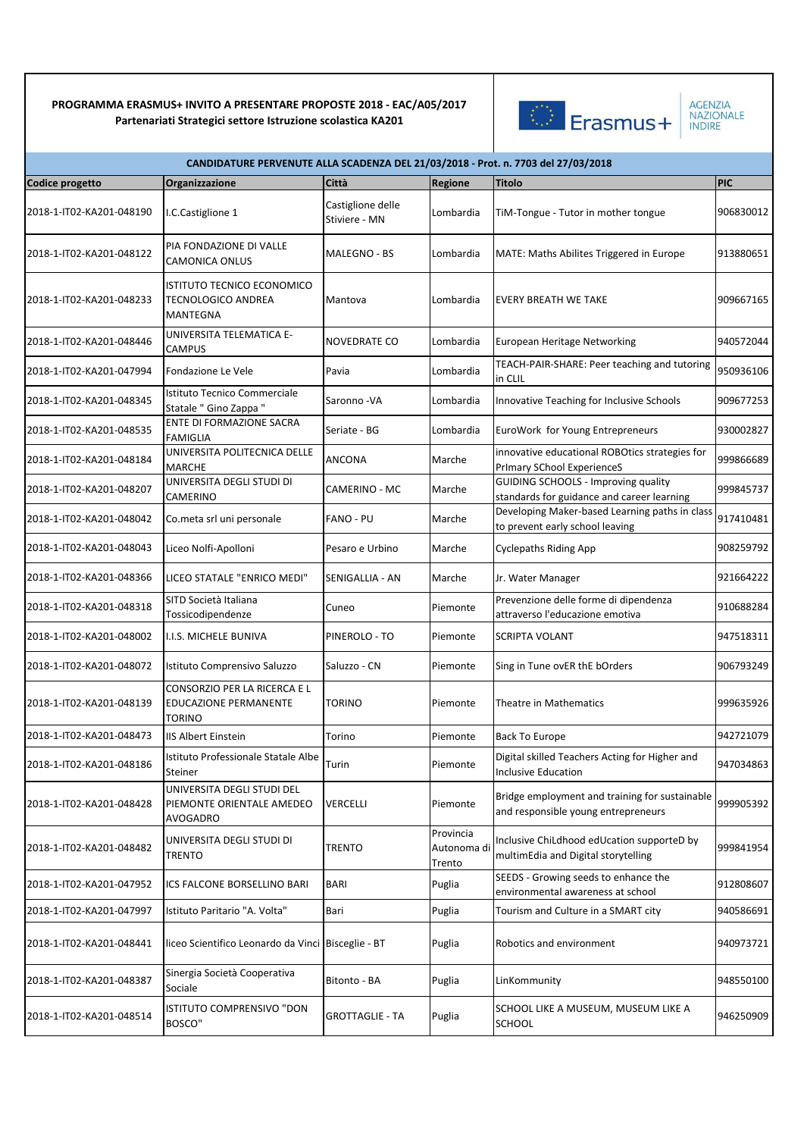

| CANDIDATURE PERVENUTE ALLA SCADENZA DEL 21/03/2018 - Prot. n. 7703 del 27/03/2018 |                                                                               |                                    |                                    |                                                                                          |            |  |  |
|-----------------------------------------------------------------------------------|-------------------------------------------------------------------------------|------------------------------------|------------------------------------|------------------------------------------------------------------------------------------|------------|--|--|
| Codice progetto                                                                   | Organizzazione                                                                | Città                              | Regione                            | <b>Titolo</b>                                                                            | <b>PIC</b> |  |  |
| 2018-1-IT02-KA201-048190                                                          | I.C.Castiglione 1                                                             | Castiglione delle<br>Stiviere - MN | Lombardia                          | TiM-Tongue - Tutor in mother tongue                                                      | 906830012  |  |  |
| 2018-1-IT02-KA201-048122                                                          | PIA FONDAZIONE DI VALLE<br><b>CAMONICA ONLUS</b>                              | <b>MALEGNO - BS</b>                | Lombardia                          | MATE: Maths Abilites Triggered in Europe                                                 | 913880651  |  |  |
| 2018-1-IT02-KA201-048233                                                          | ISTITUTO TECNICO ECONOMICO<br><b>TECNOLOGICO ANDREA</b><br><b>MANTEGNA</b>    | Mantova                            | Lombardia                          | <b>EVERY BREATH WE TAKE</b>                                                              | 909667165  |  |  |
| 2018-1-IT02-KA201-048446                                                          | UNIVERSITA TELEMATICA E-<br>CAMPUS                                            | NOVEDRATE CO                       | Lombardia                          | European Heritage Networking                                                             | 940572044  |  |  |
| 2018-1-IT02-KA201-047994                                                          | Fondazione Le Vele                                                            | Pavia                              | Lombardia                          | TEACH-PAIR-SHARE: Peer teaching and tutoring<br>in CLIL                                  | 950936106  |  |  |
| 2018-1-IT02-KA201-048345                                                          | Istituto Tecnico Commerciale<br>Statale " Gino Zappa "                        | Saronno - VA                       | Lombardia                          | Innovative Teaching for Inclusive Schools                                                | 909677253  |  |  |
| 2018-1-IT02-KA201-048535                                                          | ENTE DI FORMAZIONE SACRA<br><b>FAMIGLIA</b>                                   | Seriate - BG                       | Lombardia                          | EuroWork for Young Entrepreneurs                                                         | 930002827  |  |  |
| 2018-1-IT02-KA201-048184                                                          | UNIVERSITA POLITECNICA DELLE<br><b>MARCHE</b>                                 | ANCONA                             | Marche                             | innovative educational ROBOtics strategies for<br>PrImary SChool ExperienceS             | 999866689  |  |  |
| 2018-1-IT02-KA201-048207                                                          | UNIVERSITA DEGLI STUDI DI<br>CAMERINO                                         | CAMERINO - MC                      | Marche                             | <b>GUIDING SCHOOLS - Improving quality</b><br>standards for guidance and career learning | 999845737  |  |  |
| 2018-1-IT02-KA201-048042                                                          | Co.meta srl uni personale                                                     | FANO - PU                          | Marche                             | Developing Maker-based Learning paths in class<br>to prevent early school leaving        | 917410481  |  |  |
| 2018-1-IT02-KA201-048043                                                          | Liceo Nolfi-Apolloni                                                          | Pesaro e Urbino                    | Marche                             | <b>Cyclepaths Riding App</b>                                                             | 908259792  |  |  |
| 2018-1-IT02-KA201-048366                                                          | LICEO STATALE "ENRICO MEDI"                                                   | SENIGALLIA - AN                    | Marche                             | Jr. Water Manager                                                                        | 921664222  |  |  |
| 2018-1-IT02-KA201-048318                                                          | SITD Società Italiana<br>Tossicodipendenze                                    | Cuneo                              | Piemonte                           | Prevenzione delle forme di dipendenza<br>attraverso l'educazione emotiva                 | 910688284  |  |  |
| 2018-1-IT02-KA201-048002                                                          | I.I.S. MICHELE BUNIVA                                                         | PINEROLO - TO                      | Piemonte                           | <b>SCRIPTA VOLANT</b>                                                                    | 947518311  |  |  |
| 2018-1-IT02-KA201-048072                                                          | Istituto Comprensivo Saluzzo                                                  | Saluzzo - CN                       | Piemonte                           | Sing in Tune ovER thE bOrders                                                            | 906793249  |  |  |
| 2018-1-IT02-KA201-048139                                                          | CONSORZIO PER LA RICERCA E L<br><b>EDUCAZIONE PERMANENTE</b><br><b>TORINO</b> | TORINO                             | Piemonte                           | Theatre in Mathematics                                                                   | 999635926  |  |  |
| 2018-1-IT02-KA201-048473                                                          | <b>IIS Albert Einstein</b>                                                    | Torino                             | Piemonte                           | <b>Back To Europe</b>                                                                    | 942721079  |  |  |
| 2018-1-IT02-KA201-048186                                                          | Istituto Professionale Statale Albe<br>Steiner                                | Turin                              | Piemonte                           | Digital skilled Teachers Acting for Higher and<br><b>Inclusive Education</b>             | 947034863  |  |  |
| 2018-1-IT02-KA201-048428                                                          | UNIVERSITA DEGLI STUDI DEL<br>PIEMONTE ORIENTALE AMEDEO<br>AVOGADRO           | VERCELLI                           | Piemonte                           | Bridge employment and training for sustainable<br>and responsible young entrepreneurs    | 999905392  |  |  |
| 2018-1-IT02-KA201-048482                                                          | UNIVERSITA DEGLI STUDI DI<br><b>TRENTO</b>                                    | TRENTO                             | Provincia<br>Autonoma di<br>Trento | Inclusive ChiLdhood edUcation supporteD by<br>multimEdia and Digital storytelling        | 999841954  |  |  |
| 2018-1-IT02-KA201-047952                                                          | ICS FALCONE BORSELLINO BARI                                                   | BARI                               | Puglia                             | SEEDS - Growing seeds to enhance the<br>environmental awareness at school                | 912808607  |  |  |
| 2018-1-IT02-KA201-047997                                                          | Istituto Paritario "A. Volta"                                                 | Bari                               | Puglia                             | Tourism and Culture in a SMART city                                                      | 940586691  |  |  |
| 2018-1-IT02-KA201-048441                                                          | liceo Scientifico Leonardo da Vinci Bisceglie - BT                            |                                    | Puglia                             | Robotics and environment                                                                 | 940973721  |  |  |
| 2018-1-IT02-KA201-048387                                                          | Sinergia Società Cooperativa<br>Sociale                                       | Bitonto - BA                       | Puglia                             | LinKommunity                                                                             | 948550100  |  |  |
| 2018-1-IT02-KA201-048514                                                          | ISTITUTO COMPRENSIVO "DON<br>BOSCO"                                           | GROTTAGLIE - TA                    | Puglia                             | SCHOOL LIKE A MUSEUM, MUSEUM LIKE A<br><b>SCHOOL</b>                                     | 946250909  |  |  |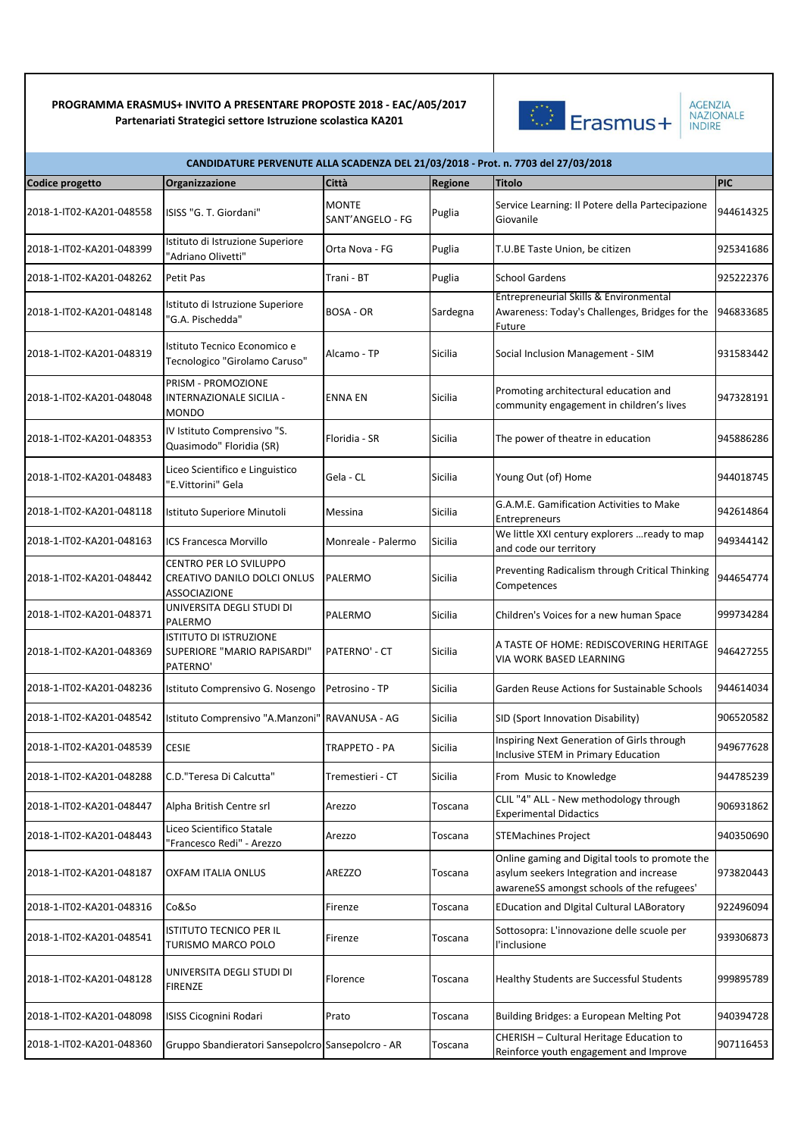

| <b>AGENZIA</b>   |  |
|------------------|--|
| <b>NAZIONALE</b> |  |
| <b>INDIRE</b>    |  |

|                          | CANDIDATURE PERVENUTE ALLA SCADENZA DEL 21/03/2018 - Prot. n. 7703 del 27/03/2018 |                                  |          |                                                                                                                                         |            |  |  |
|--------------------------|-----------------------------------------------------------------------------------|----------------------------------|----------|-----------------------------------------------------------------------------------------------------------------------------------------|------------|--|--|
| Codice progetto          | Organizzazione                                                                    | Città                            | Regione  | <b>Titolo</b>                                                                                                                           | <b>PIC</b> |  |  |
| 2018-1-IT02-KA201-048558 | ISISS "G. T. Giordani"                                                            | <b>MONTE</b><br>SANT'ANGELO - FG | Puglia   | Service Learning: Il Potere della Partecipazione<br>Giovanile                                                                           | 944614325  |  |  |
| 2018-1-IT02-KA201-048399 | Istituto di Istruzione Superiore<br>"Adriano Olivetti"                            | Orta Nova - FG                   | Puglia   | T.U.BE Taste Union, be citizen                                                                                                          | 925341686  |  |  |
| 2018-1-IT02-KA201-048262 | Petit Pas                                                                         | Trani - BT                       | Puglia   | <b>School Gardens</b>                                                                                                                   | 925222376  |  |  |
| 2018-1-IT02-KA201-048148 | Istituto di Istruzione Superiore<br>'G.A. Pischedda"                              | BOSA - OR                        | Sardegna | Entrepreneurial Skills & Environmental<br>Awareness: Today's Challenges, Bridges for the<br>Future                                      | 946833685  |  |  |
| 2018-1-IT02-KA201-048319 | Istituto Tecnico Economico e<br>Tecnologico "Girolamo Caruso"                     | Alcamo - TP                      | Sicilia  | Social Inclusion Management - SIM                                                                                                       | 931583442  |  |  |
| 2018-1-IT02-KA201-048048 | PRISM - PROMOZIONE<br>INTERNAZIONALE SICILIA -<br><b>MONDO</b>                    | <b>ENNA EN</b>                   | Sicilia  | Promoting architectural education and<br>community engagement in children's lives                                                       | 947328191  |  |  |
| 2018-1-IT02-KA201-048353 | IV Istituto Comprensivo "S.<br>Quasimodo" Floridia (SR)                           | Floridia - SR                    | Sicilia  | The power of theatre in education                                                                                                       | 945886286  |  |  |
| 2018-1-IT02-KA201-048483 | Liceo Scientifico e Linguistico<br>"E.Vittorini" Gela                             | Gela - CL                        | Sicilia  | Young Out (of) Home                                                                                                                     | 944018745  |  |  |
| 2018-1-IT02-KA201-048118 | Istituto Superiore Minutoli                                                       | Messina                          | Sicilia  | G.A.M.E. Gamification Activities to Make<br><b>Entrepreneurs</b>                                                                        | 942614864  |  |  |
| 2018-1-IT02-KA201-048163 | ICS Francesca Morvillo                                                            | Monreale - Palermo               | Sicilia  | We little XXI century explorers  ready to map<br>and code our territory                                                                 | 949344142  |  |  |
| 2018-1-IT02-KA201-048442 | <b>CENTRO PER LO SVILUPPO</b><br>CREATIVO DANILO DOLCI ONLUS<br>ASSOCIAZIONE      | PALERMO                          | Sicilia  | Preventing Radicalism through Critical Thinking<br>Competences                                                                          | 944654774  |  |  |
| 2018-1-IT02-KA201-048371 | UNIVERSITA DEGLI STUDI DI<br>PALERMO                                              | PALERMO                          | Sicilia  | Children's Voices for a new human Space                                                                                                 | 999734284  |  |  |
| 2018-1-IT02-KA201-048369 | <b>ISTITUTO DI ISTRUZIONE</b><br>SUPERIORE "MARIO RAPISARDI"<br>PATERNO'          | PATERNO' - CT                    | Sicilia  | A TASTE OF HOME: REDISCOVERING HERITAGE<br>VIA WORK BASED LEARNING                                                                      | 946427255  |  |  |
| 2018-1-IT02-KA201-048236 | Istituto Comprensivo G. Nosengo                                                   | Petrosino - TP                   | Sicilia  | Garden Reuse Actions for Sustainable Schools                                                                                            | 944614034  |  |  |
| 2018-1-IT02-KA201-048542 | Istituto Comprensivo "A.Manzoni"                                                  | <b>RAVANUSA - AG</b>             | Sicilia  | SID (Sport Innovation Disability)                                                                                                       | 906520582  |  |  |
| 2018-1-IT02-KA201-048539 | <b>CESIE</b>                                                                      | <b>TRAPPETO - PA</b>             | Sicilia  | Inspiring Next Generation of Girls through<br>Inclusive STEM in Primary Education                                                       | 949677628  |  |  |
| 2018-1-IT02-KA201-048288 | C.D. "Teresa Di Calcutta"                                                         | Tremestieri - CT                 | Sicilia  | From Music to Knowledge                                                                                                                 | 944785239  |  |  |
| 2018-1-IT02-KA201-048447 | Alpha British Centre srl                                                          | Arezzo                           | Toscana  | CLIL "4" ALL - New methodology through<br><b>Experimental Didactics</b>                                                                 | 906931862  |  |  |
| 2018-1-IT02-KA201-048443 | Liceo Scientifico Statale<br>'Francesco Redi" - Arezzo                            | Arezzo                           | Toscana  | <b>STEMachines Project</b>                                                                                                              | 940350690  |  |  |
| 2018-1-IT02-KA201-048187 | <b>OXFAM ITALIA ONLUS</b>                                                         | <b>AREZZO</b>                    | Toscana  | Online gaming and Digital tools to promote the<br>asylum seekers Integration and increase<br>awareneSS amongst schools of the refugees' | 973820443  |  |  |
| 2018-1-IT02-KA201-048316 | Co&So                                                                             | Firenze                          | Toscana  | <b>EDucation and Digital Cultural LABoratory</b>                                                                                        | 922496094  |  |  |
| 2018-1-IT02-KA201-048541 | <b>ISTITUTO TECNICO PER IL</b><br>TURISMO MARCO POLO                              | Firenze                          | Toscana  | Sottosopra: L'innovazione delle scuole per<br>l'inclusione                                                                              | 939306873  |  |  |
| 2018-1-IT02-KA201-048128 | UNIVERSITA DEGLI STUDI DI<br><b>FIRENZE</b>                                       | Florence                         | Toscana  | Healthy Students are Successful Students                                                                                                | 999895789  |  |  |
| 2018-1-IT02-KA201-048098 | ISISS Cicognini Rodari                                                            | Prato                            | Toscana  | Building Bridges: a European Melting Pot                                                                                                | 940394728  |  |  |
| 2018-1-IT02-KA201-048360 | Gruppo Sbandieratori Sansepolcro Sansepolcro - AR                                 |                                  | Toscana  | CHERISH - Cultural Heritage Education to<br>Reinforce youth engagement and Improve                                                      | 907116453  |  |  |